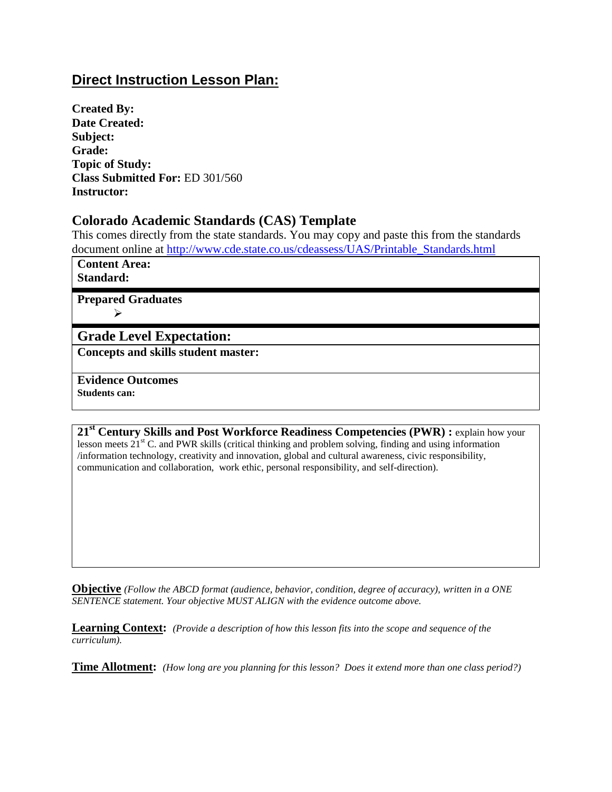# **Direct Instruction Lesson Plan:**

**Created By: Date Created: Subject: Grade: Topic of Study: Class Submitted For:** ED 301/560 **Instructor:**

### **Colorado Academic Standards (CAS) Template**

This comes directly from the state standards. You may copy and paste this from the standards document online at [http://www.cde.state.co.us/cdeassess/UAS/Printable\\_Standards.html](http://www.cde.state.co.us/cdeassess/UAS/Printable_Standards.html)

**Content Area: Standard:**

**Prepared Graduates**  $\blacktriangleright$ 

### **Grade Level Expectation:**

**Concepts and skills student master:**

**Evidence Outcomes Students can:**

**21st Century Skills and Post Workforce Readiness Competencies (PWR) :** explain how your lesson meets  $21<sup>st</sup>$  C. and PWR skills (critical thinking and problem solving, finding and using information /information technology, creativity and innovation, global and cultural awareness, civic responsibility, communication and collaboration, work ethic, personal responsibility, and self-direction).

**Objective** *(Follow the ABCD format (audience, behavior, condition, degree of accuracy), written in a ONE SENTENCE statement. Your objective MUST ALIGN with the evidence outcome above.*

**Learning Context:** *(Provide a description of how this lesson fits into the scope and sequence of the curriculum).* 

**Time Allotment:** *(How long are you planning for this lesson? Does it extend more than one class period?)*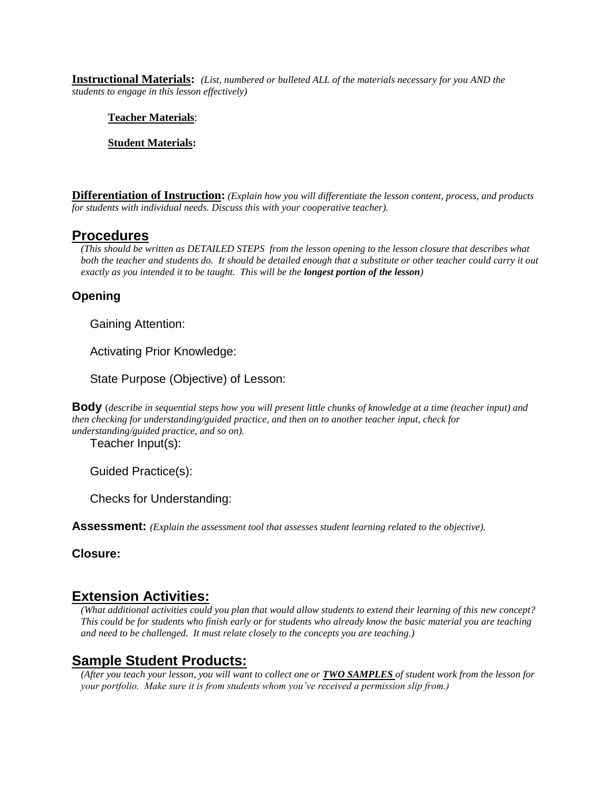**Instructional Materials:** *(List, numbered or bulleted ALL of the materials necessary for you AND the students to engage in this lesson effectively)*

#### **Teacher Materials**:

#### **Student Materials:**

**Differentiation of Instruction:** *(Explain how you will differentiate the lesson content, process, and products for students with individual needs. Discuss this with your cooperative teacher).*

#### **Procedures**

*(This should be written as DETAILED STEPS from the lesson opening to the lesson closure that describes what both the teacher and students do. It should be detailed enough that a substitute or other teacher could carry it out exactly as you intended it to be taught. This will be the longest portion of the lesson)*

#### **Opening**

Gaining Attention:

Activating Prior Knowledge:

State Purpose (Objective) of Lesson:

**Body** (*describe in sequential steps how you will present little chunks of knowledge at a time (teacher input) and then checking for understanding/guided practice, and then on to another teacher input, check for understanding/guided practice, and so on).*

Teacher Input(s):

Guided Practice(s):

Checks for Understanding:

**Assessment:** *(Explain the assessment tool that assesses student learning related to the objective).* 

**Closure:**

### **Extension Activities:**

*(What additional activities could you plan that would allow students to extend their learning of this new concept? This could be for students who finish early or for students who already know the basic material you are teaching and need to be challenged. It must relate closely to the concepts you are teaching.)*

### **Sample Student Products:**

*(After you teach your lesson, you will want to collect one or TWO SAMPLES of student work from the lesson for your portfolio. Make sure it is from students whom you've received a permission slip from.)*